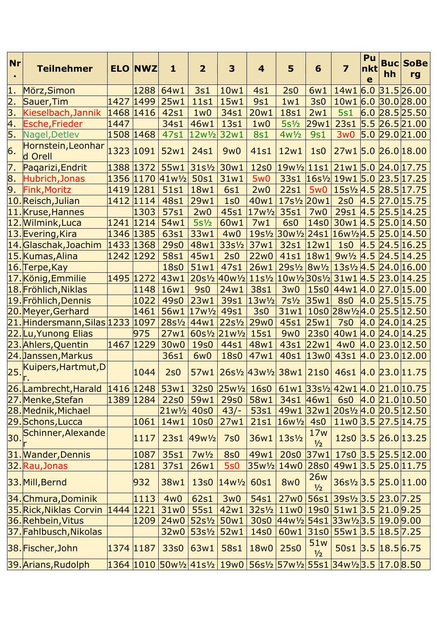| <b>Nr</b>        | <b>Teilnehmer</b>             |                        | <b>ELO NWZ</b> | $\mathbf{1}$                    | $\overline{2}$      | 3                       | $\overline{\mathbf{4}}$                                    | 5                                                                          | 6                 | $\overline{\mathbf{z}}$                                 | Pu<br>nkt<br>e | hh            | <b>Buc SoBe</b><br>rg          |
|------------------|-------------------------------|------------------------|----------------|---------------------------------|---------------------|-------------------------|------------------------------------------------------------|----------------------------------------------------------------------------|-------------------|---------------------------------------------------------|----------------|---------------|--------------------------------|
| 1.               | Mörz, Simon                   |                        | 1288           | 64w1                            | <b>3s1</b>          | 10w1                    | 4s1                                                        | 2s0                                                                        | 6w1               |                                                         |                |               | 14w1 6.0 31.5 26.00            |
| $\overline{2}$ . | Sauer, Tim                    | 1427                   | 1499           | 25w1                            | <b>11s1</b>         | 15w1                    | <b>9s1</b>                                                 | 1w1                                                                        | 3s0               |                                                         |                |               | 10w1 6.0 30.0 28.00            |
| 3.               | Kieselbach, Jannik            | 1468 1416              |                | 42s1                            | 1w0                 | 34s1                    | 20w1                                                       | <b>18s1</b>                                                                | 2w1               | <b>5s1</b>                                              |                |               | 6.0 28.5 25.50                 |
| 4.               | Esche,Frieder                 | 1447                   |                | 34s1                            | 46w1                | 13s1                    | 1w0                                                        | $5s\frac{1}{2}$                                                            | 29w1              | 23s1                                                    |                |               | $5.5$ 26.5 21.00               |
| 5.               | Nagel, Detlev                 | 1508 1468              |                | 47s1                            | $12w\frac{1}{2}$    | 32w1                    | <b>8s1</b>                                                 | $4w\frac{1}{2}$                                                            | 9s1               | 3w0                                                     | 5.0            |               | 29.0 21.00                     |
| 6.               | Hornstein, Leonhar<br>d Orell | 1323 1091              |                | 52w1                            | 24s1                | 9w0                     | 41s1                                                       | 12w1                                                                       | 1 <sub>50</sub>   | 27w1 5.0 26.0 18.00                                     |                |               |                                |
| 7.               | Pagarizi, Endrit              | 1388 1372              |                | 55w1                            | $31s^{1/2}$         | 30w1                    | 12s0                                                       | $ 19w\text{V}_2 11s1 21w1 5.0 24.0 17.75$                                  |                   |                                                         |                |               |                                |
| 8.               | Hubrich, Jonas                | 1356 1170              |                | $41w^{1/2}$                     | 50s1                | 31w1                    | <b>5w0</b>                                                 | 33s1                                                                       |                   | $ 16s\frac{1}{2} 19w1 5.0 23.5 17.25$                   |                |               |                                |
| 9.               | Fink, Moritz                  | 1419 1281              |                | 51s1                            | 18w1                | <b>6s1</b>              | 2w0                                                        | <b>22s1</b>                                                                | 5w <sub>0</sub>   | $15s\frac{1}{2}$ 4.5 28.5 17.75                         |                |               |                                |
|                  | 10.Reisch, Julian             | 1412 1114              |                | 48s1                            | 29w1                | 1s0                     | 40w1                                                       | $17s\frac{1}{2}$ 20w1                                                      |                   | 2s0                                                     |                |               | $4.5$ 27.0 15.75               |
|                  | 11. Kruse, Hannes             |                        | 1303           | 57s1                            | 2w0                 | 45s1                    | $17w^{1/2}$                                                | 35s1                                                                       | 7w0               | 29s1                                                    |                |               | $4.5$ 25.5 14.25               |
|                  | 12. Wilmink, Luca             | 1241 1214              |                | 54w1                            | $5s\frac{1}{2}$     | 60w1                    | 7w1                                                        | <b>6s0</b>                                                                 | 14s0              | 30w1 4.5 25.0 14.50                                     |                |               |                                |
|                  | 13. Evering, Kira             | 1346 1385              |                | 63s1                            | 33w1                | 4w0                     |                                                            | 19s1/ <sub>2</sub> 30w <sup>1</sup> / <sub>2</sub>                         |                   | 24s1 16w1/24.5 25.0 14.50                               |                |               |                                |
|                  | 14.Glaschak,Joachim           | 1433 1368              |                | <b>29s0</b>                     | 48w1                | $33s\frac{1}{2}$        | 37w1                                                       | 32s1                                                                       | 12w1              | 1s0                                                     |                |               | $4.5$ 24.5 16.25               |
|                  | 15. Kumas, Alina              | 1242 1292              |                | 58s1                            | 45w1                | 2s0                     | <b>22w0</b>                                                | 41s1                                                                       | 18w1              |                                                         |                |               | $9w\frac{1}{2}$ 4.5 24.5 14.25 |
|                  | 16. Terpe, Kay                |                        |                | <b>18s0</b>                     | 51w1                | 47s1                    | 26w1                                                       |                                                                            |                   | $29s\frac{1}{2}8w\frac{1}{2}13s\frac{1}{2}4.524.016.00$ |                |               |                                |
|                  | 17. König, Emmilie            | 1495 1272              |                | 43w1                            | $20s\frac{1}{2}$    | $40w\frac{1}{2}$        |                                                            | $11s\frac{1}{2}  10w\frac{1}{2}  30s\frac{1}{2}  31w1   4.5   23.0  14.25$ |                   |                                                         |                |               |                                |
|                  | 18. Fröhlich, Niklas          |                        | 1148           | 16w1                            | <b>9s0</b>          | 24w1                    | 38s1                                                       | 3w0                                                                        | <b>15s0</b>       | 44w1 4.0 27.0 15.00                                     |                |               |                                |
|                  | 19. Fröhlich, Dennis          |                        | 1022           | 49s0                            | 23w1                | 39s1                    | $13w\frac{1}{2}$                                           | $7s\frac{1}{2}$                                                            | 35w1              | <b>8s0</b>                                              |                |               | $4.0$ 25.5 15.75               |
|                  | 20.Meyer,Gerhard              |                        | 1461           |                                 | 56w1 17w1/2         | 49s1                    | 3s0                                                        | 31w1                                                                       |                   | $10s0$ 28w <sup>1</sup> / <sub>2</sub> 4.0 25.5 12.50   |                |               |                                |
|                  | 21. Hindersmann, Silas 1233   |                        | 1097           | 28s <sup>1</sup> / <sub>2</sub> | 44w1                | $22s^{1/2}$             | 29w0                                                       | 45s1                                                                       | 25w1              | 7s0                                                     |                |               | 4.0 24.0 14.25                 |
|                  | 22.Lu, Yunong Elias           |                        | 975            | 27w1                            | $60s\frac{1}{2}$    | $21w\frac{1}{2}$        | <b>15s1</b>                                                | <b>9w0</b>                                                                 | <b>23s0</b>       | 40w1 4.0 24.0 14.25                                     |                |               |                                |
|                  | 23. Ahlers, Quentin           | 1467                   | 1229           | 30w0                            | <b>19s0</b>         | 44s1                    | 48w1                                                       | 43s1                                                                       | 22w1              | 4w0                                                     |                |               | 4.0 23.0 12.50                 |
|                  | 24. Janssen, Markus           |                        |                | 36s1                            | 6w <sub>0</sub>     | <b>18s0</b>             | 47w1                                                       | 40s1                                                                       | 13w0              | 43s1                                                    |                |               | 4.0 23.0 12.00                 |
| 25               | Kuipers, Hartmut, D           |                        | 1044           | 2s0                             | 57w1                |                         | $26s\frac{1}{2}  43w\frac{1}{2}  38w1  21s0 $              |                                                                            |                   | 46s1 4.0 23.0 11.75                                     |                |               |                                |
|                  | 26. Lambrecht, Harald         |                        |                | $1416$ 1248 53w1                |                     | 32s0 25w <sup>1/2</sup> | 16s0                                                       |                                                                            |                   | $61w1$ 33s1/2 42w1 4.0 21.0 10.75                       |                |               |                                |
|                  | 27.Menke, Stefan              | 1389 1284              |                | <b>22s0</b>                     | 59w1                | <b>29s0</b>             | 58w1                                                       | 34s1 46w1                                                                  |                   | <b>6s0</b>                                              |                |               | $4.0$ 21.0 10.50               |
|                  | 28. Mednik, Michael           |                        |                | $21w^{1/2}$                     | 40s0                | $43/-$                  | 53s1                                                       | 49w1                                                                       |                   | $ 32w1 20s\frac{1}{2}4.0 20.5 12.50 $                   |                |               |                                |
|                  | 29.Schons, Lucca              |                        | 1061           | 14w1                            | 10s0                | 27w1                    | 21s1                                                       | $16w\frac{1}{2}$ 4s0                                                       |                   |                                                         |                |               | 11w0 3.5 27.5 14.75            |
| 30.              | Schinner, Alexande            |                        | 1117           |                                 | 23s1 49w1/2         | 7s0                     | 36w1                                                       | $13s\frac{1}{2}$                                                           | 17w<br>1/2        | 12s0                                                    |                |               | 3.5 26.0 13.25                 |
|                  | 31. Wander, Dennis            |                        | 1087           | 35s1                            | $7w\frac{1}{2}$     | <b>8s0</b>              | 49w1                                                       | <b>20s0</b>                                                                | 37w1              |                                                         |                |               | 17s0 3.5 25.5 12.00            |
|                  | 32. Rau, Jonas                |                        | 1281           | 37s1                            | 26w1                | <b>5s0</b>              | $35w\frac{1}{2}$                                           | 14w0                                                                       | <b>28s0</b>       | 49w1 3.5 25.0 11.75                                     |                |               |                                |
|                  | 33. Mill, Bernd               |                        | 932            | 38w1                            | 13 <sub>50</sub>    | $14w^{1/2}$             | 60s1                                                       | <b>8w0</b>                                                                 | <b>26w</b><br>1/2 | 36s1/2 3.5 25.0 11.00                                   |                |               |                                |
|                  | 34. Chmura, Dominik           |                        | 1113           | 4w0                             | 62s1                | 3w0                     | 54 <sub>s1</sub>                                           | 27w0                                                                       | 56s1              | 39s½ 3.5 23.0 7.25                                      |                |               |                                |
|                  | 35.Rick, Niklas Corvin        | $1444$ 1221            |                | 31w0                            | 55s1                | 42w1                    | $32s\frac{1}{2}$                                           | 11w0                                                                       |                   | 19s0 51w1 3.5 21.0 9.25                                 |                |               |                                |
|                  | 36.Rehbein, Vitus             |                        | 1209           | 24w0                            | 52s <sup>1</sup> /2 | 50w1                    | 30s0                                                       | $44w^{1/2}$                                                                |                   | 54s1 33w1/2 3.5 19.0 9.00                               |                |               |                                |
|                  | 37. Fahlbusch, Nikolas        |                        |                | 32w0                            | $53s\frac{1}{2}$    | 52w1                    | 14s0                                                       | 60w1                                                                       | 31s0              | 55w1 3.5 18.5 7.25                                      |                |               |                                |
|                  | 38. Fischer, John             | 1374 <mark>1187</mark> |                | 33s0                            | 63w1                | 58s1                    | 18w0                                                       | <b>25s0</b>                                                                | 51w<br>1/2        | 50s1                                                    |                | 3.5 18.5 6.75 |                                |
|                  | 39. Arians, Rudolph           |                        |                |                                 |                     |                         | 1364 1010 50w½ 41s½ 19w0 56s½ 57w½ 55s1 34w½ 3.5 17.0 8.50 |                                                                            |                   |                                                         |                |               |                                |